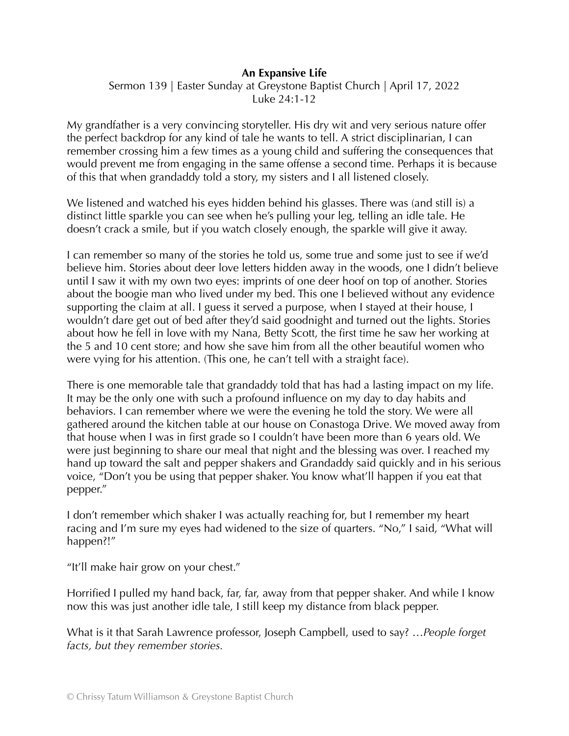## **An Expansive Life**

Sermon 139 | Easter Sunday at Greystone Baptist Church | April 17, 2022 Luke 24:1-12

My grandfather is a very convincing storyteller. His dry wit and very serious nature offer the perfect backdrop for any kind of tale he wants to tell. A strict disciplinarian, I can remember crossing him a few times as a young child and suffering the consequences that would prevent me from engaging in the same offense a second time. Perhaps it is because of this that when grandaddy told a story, my sisters and I all listened closely.

We listened and watched his eyes hidden behind his glasses. There was (and still is) a distinct little sparkle you can see when he's pulling your leg, telling an idle tale. He doesn't crack a smile, but if you watch closely enough, the sparkle will give it away.

I can remember so many of the stories he told us, some true and some just to see if we'd believe him. Stories about deer love letters hidden away in the woods, one I didn't believe until I saw it with my own two eyes: imprints of one deer hoof on top of another. Stories about the boogie man who lived under my bed. This one I believed without any evidence supporting the claim at all. I guess it served a purpose, when I stayed at their house, I wouldn't dare get out of bed after they'd said goodnight and turned out the lights. Stories about how he fell in love with my Nana, Betty Scott, the first time he saw her working at the 5 and 10 cent store; and how she save him from all the other beautiful women who were vying for his attention. (This one, he can't tell with a straight face).

There is one memorable tale that grandaddy told that has had a lasting impact on my life. It may be the only one with such a profound influence on my day to day habits and behaviors. I can remember where we were the evening he told the story. We were all gathered around the kitchen table at our house on Conastoga Drive. We moved away from that house when I was in first grade so I couldn't have been more than 6 years old. We were just beginning to share our meal that night and the blessing was over. I reached my hand up toward the salt and pepper shakers and Grandaddy said quickly and in his serious voice, "Don't you be using that pepper shaker. You know what'll happen if you eat that pepper."

I don't remember which shaker I was actually reaching for, but I remember my heart racing and I'm sure my eyes had widened to the size of quarters. "No," I said, "What will happen?!"

"It'll make hair grow on your chest."

Horrified I pulled my hand back, far, far, away from that pepper shaker. And while I know now this was just another idle tale, I still keep my distance from black pepper.

What is it that Sarah Lawrence professor, Joseph Campbell, used to say? …*People forget facts, but they remember stories.*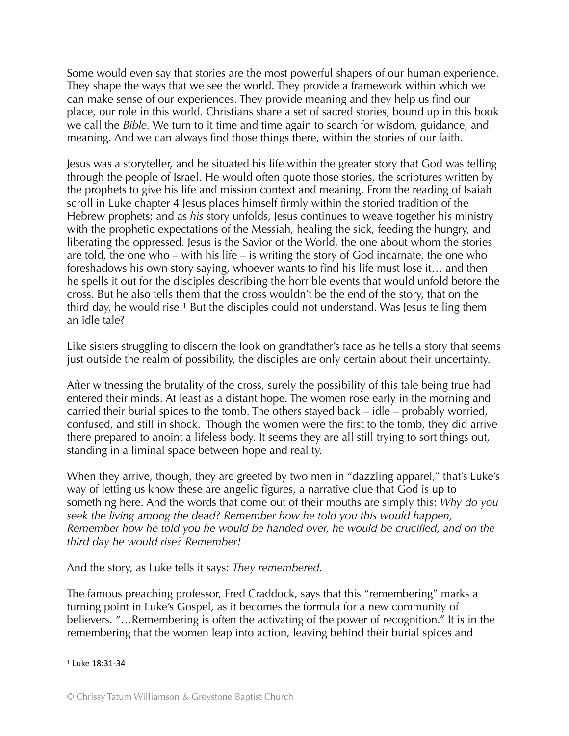Some would even say that stories are the most powerful shapers of our human experience. They shape the ways that we see the world. They provide a framework within which we can make sense of our experiences. They provide meaning and they help us find our place, our role in this world. Christians share a set of sacred stories, bound up in this book we call the *Bible.* We turn to it time and time again to search for wisdom, guidance, and meaning. And we can always find those things there, within the stories of our faith.

Jesus was a storyteller, and he situated his life within the greater story that God was telling through the people of Israel. He would often quote those stories, the scriptures written by the prophets to give his life and mission context and meaning. From the reading of Isaiah scroll in Luke chapter 4 Jesus places himself firmly within the storied tradition of the Hebrew prophets; and as *his* story unfolds, Jesus continues to weave together his ministry with the prophetic expectations of the Messiah, healing the sick, feeding the hungry, and liberating the oppressed. Jesus is the Savior of the World, the one about whom the stories are told, the one who – with his life – is writing the story of God incarnate, the one who foreshadows his own story saying, whoever wants to find his life must lose it… and then he spells it out for the disciples describing the horrible events that would unfold before the cross. But he also tells them that the cross wouldn't be the end of the story, that on the third day, he would rise.<sup>1</sup> But the disciples could not understand[.](#page-1-0) Was Jesus telling them an idle tale?

<span id="page-1-1"></span>Like sisters struggling to discern the look on grandfather's face as he tells a story that seems just outside the realm of possibility, the disciples are only certain about their uncertainty.

After witnessing the brutality of the cross, surely the possibility of this tale being true had entered their minds. At least as a distant hope. The women rose early in the morning and carried their burial spices to the tomb. The others stayed back – idle – probably worried, confused, and still in shock. Though the women were the first to the tomb, they did arrive there prepared to anoint a lifeless body. It seems they are all still trying to sort things out, standing in a liminal space between hope and reality.

When they arrive, though, they are greeted by two men in "dazzling apparel," that's Luke's way of letting us know these are angelic figures, a narrative clue that God is up to something here. And the words that come out of their mouths are simply this: *Why do you seek the living among the dead? Remember how he told you this would happen, Remember how he told you he would be handed over, he would be crucified, and on the third day he would rise? Remember!* 

And the story, as Luke tells it says: *They remembered.*

The famous preaching professor, Fred Craddock, says that this "remembering" marks a turning point in Luke's Gospel, as it becomes the formula for a new community of believers. "…Remembering is often the activating of the power of recognition." It is in the remembering that the women leap into action, leaving behind their burial spices and

<span id="page-1-0"></span>[<sup>1</sup>](#page-1-1) Luke 18:31-34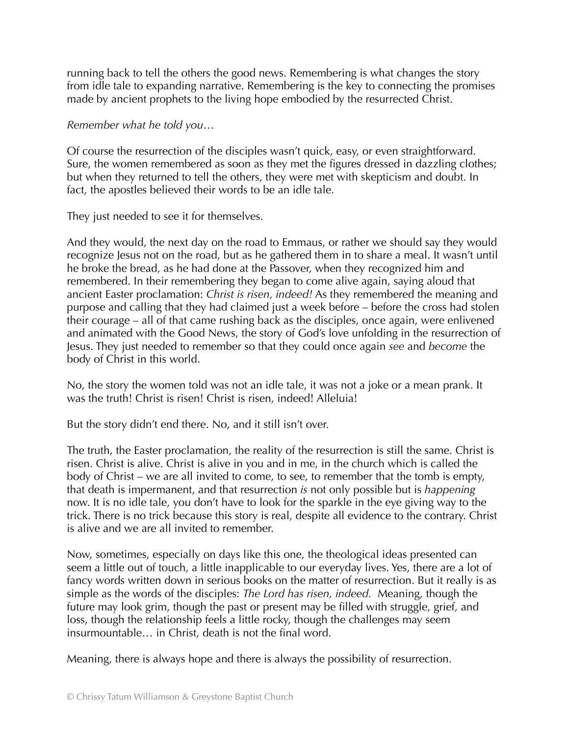running back to tell the others the good news. Remembering is what changes the story from idle tale to expanding narrative. Remembering is the key to connecting the promises made by ancient prophets to the living hope embodied by the resurrected Christ.

*Remember what he told you*…

Of course the resurrection of the disciples wasn't quick, easy, or even straightforward. Sure, the women remembered as soon as they met the figures dressed in dazzling clothes; but when they returned to tell the others, they were met with skepticism and doubt. In fact, the apostles believed their words to be an idle tale.

They just needed to see it for themselves.

And they would, the next day on the road to Emmaus, or rather we should say they would recognize Jesus not on the road, but as he gathered them in to share a meal. It wasn't until he broke the bread, as he had done at the Passover, when they recognized him and remembered. In their remembering they began to come alive again, saying aloud that ancient Easter proclamation: *Christ is risen, indeed!* As they remembered the meaning and purpose and calling that they had claimed just a week before – before the cross had stolen their courage – all of that came rushing back as the disciples, once again, were enlivened and animated with the Good News, the story of God's love unfolding in the resurrection of Jesus. They just needed to remember so that they could once again *see* and *become* the body of Christ in this world.

No, the story the women told was not an idle tale, it was not a joke or a mean prank. It was the truth! Christ is risen! Christ is risen, indeed! Alleluia!

But the story didn't end there. No, and it still isn't over.

The truth, the Easter proclamation, the reality of the resurrection is still the same. Christ is risen. Christ is alive. Christ is alive in you and in me, in the church which is called the body of Christ – we are all invited to come, to see, to remember that the tomb is empty, that death is impermanent, and that resurrection *is* not only possible but is *happening* now. It is no idle tale, you don't have to look for the sparkle in the eye giving way to the trick. There is no trick because this story is real, despite all evidence to the contrary. Christ is alive and we are all invited to remember.

Now, sometimes, especially on days like this one, the theological ideas presented can seem a little out of touch, a little inapplicable to our everyday lives. Yes, there are a lot of fancy words written down in serious books on the matter of resurrection. But it really is as simple as the words of the disciples: *The Lord has risen, indeed.* Meaning, though the future may look grim, though the past or present may be filled with struggle, grief, and loss, though the relationship feels a little rocky, though the challenges may seem insurmountable… in Christ, death is not the final word.

Meaning, there is always hope and there is always the possibility of resurrection.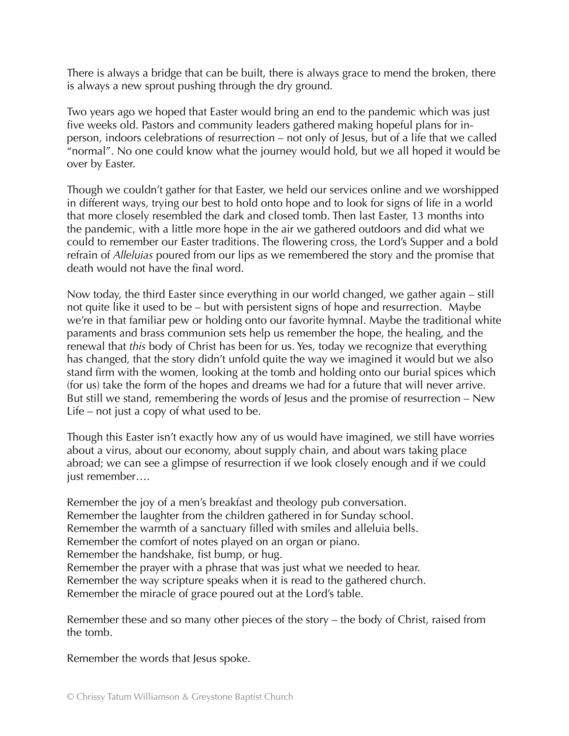There is always a bridge that can be built, there is always grace to mend the broken, there is always a new sprout pushing through the dry ground.

Two years ago we hoped that Easter would bring an end to the pandemic which was just five weeks old. Pastors and community leaders gathered making hopeful plans for inperson, indoors celebrations of resurrection – not only of Jesus, but of a life that we called "normal". No one could know what the journey would hold, but we all hoped it would be over by Easter.

Though we couldn't gather for that Easter, we held our services online and we worshipped in different ways, trying our best to hold onto hope and to look for signs of life in a world that more closely resembled the dark and closed tomb. Then last Easter, 13 months into the pandemic, with a little more hope in the air we gathered outdoors and did what we could to remember our Easter traditions. The flowering cross, the Lord's Supper and a bold refrain of *Alleluias* poured from our lips as we remembered the story and the promise that death would not have the final word.

Now today, the third Easter since everything in our world changed, we gather again – still not quite like it used to be – but with persistent signs of hope and resurrection. Maybe we're in that familiar pew or holding onto our favorite hymnal. Maybe the traditional white paraments and brass communion sets help us remember the hope, the healing, and the renewal that *this* body of Christ has been for us. Yes, today we recognize that everything has changed, that the story didn't unfold quite the way we imagined it would but we also stand firm with the women, looking at the tomb and holding onto our burial spices which (for us) take the form of the hopes and dreams we had for a future that will never arrive. But still we stand, remembering the words of Jesus and the promise of resurrection – New Life – not just a copy of what used to be.

Though this Easter isn't exactly how any of us would have imagined, we still have worries about a virus, about our economy, about supply chain, and about wars taking place abroad; we can see a glimpse of resurrection if we look closely enough and if we could just remember….

Remember the joy of a men's breakfast and theology pub conversation. Remember the laughter from the children gathered in for Sunday school. Remember the warmth of a sanctuary filled with smiles and alleluia bells. Remember the comfort of notes played on an organ or piano. Remember the handshake, fist bump, or hug. Remember the prayer with a phrase that was just what we needed to hear. Remember the way scripture speaks when it is read to the gathered church. Remember the miracle of grace poured out at the Lord's table.

Remember these and so many other pieces of the story – the body of Christ, raised from the tomb.

Remember the words that Jesus spoke.